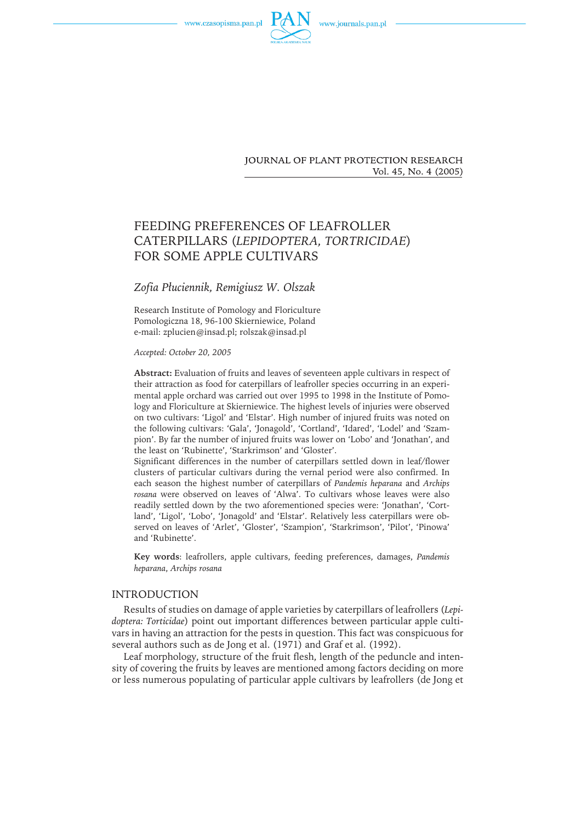



**IOURNAL OF PLANT PROTECTION RESEARCH** Vol. 45, No. 4 (2005)

# FEEDING PREFERENCES OF LEAFROLLER CATERPILLARS (*LEPIDOPTERA, TORTRICIDAE*) FOR SOME APPLE CULTIVARS

# *Zofia Płuciennik, Remigiusz W. Olszak*

Research Institute of Pomology and Floriculture Pomologiczna 18, 96-100 Skierniewice, Poland e-mail: zplucien@insad.pl; rolszak@insad.pl

*Accepted: October 20, 2005*

Abstract: Evaluation of fruits and leaves of seventeen apple cultivars in respect of their attraction as food for caterpillars of leafroller species occurring in an experimental apple orchard was carried out over 1995 to 1998 in the Institute of Pomology and Floriculture at Skierniewice. The highest levels of injuries were observed on two cultivars: 'Ligol' and 'Elstar'. High number of injured fruits was noted on the following cultivars: 'Gala', 'Jonagold', 'Cortland', 'Idared', 'Lodel' and 'Szampion'. By far the number of injured fruits was lower on 'Lobo' and 'Jonathan', and the least on 'Rubinette', 'Starkrimson' and 'Gloster'.

Significant differences in the number of caterpillars settled down in leaf/flower clusters of particular cultivars during the vernal period were also confirmed. In each season the highest number of caterpillars of *Pandemis heparana* and *Archips rosana* were observed on leaves of'Alwa'. To cultivars whose leaves were also readily settled down by the two aforementioned species were: 'Jonathan', 'Cortland', 'Ligol', 'Lobo', 'Jonagold' and 'Elstar'. Relatively less caterpillars were observed on leaves of'Arlet', 'Gloster', 'Szampion', 'Starkrimson', 'Pilot', 'Pinowa' and 'Rubinette'.

**Key words**: leafrollers, apple cultivars, feeding preferences, damages, *Pandemis heparana*, *Archips rosana*

## INTRODUCTION

Results of studies on damage of apple varieties by caterpillars of leafrollers (*Lepidoptera: Torticidae*) point out important differences between particular apple cultivars in having an attraction for the pests in question. This fact was conspicuous for several authors such as de Jong et al. (1971) and Graf et al. (1992).

Leaf morphology, structure of the fruit flesh, length of the peduncle and intensity of covering the fruits by leaves are mentioned among factors deciding on more or less numerous populating of particular apple cultivars by leafrollers (de Jong et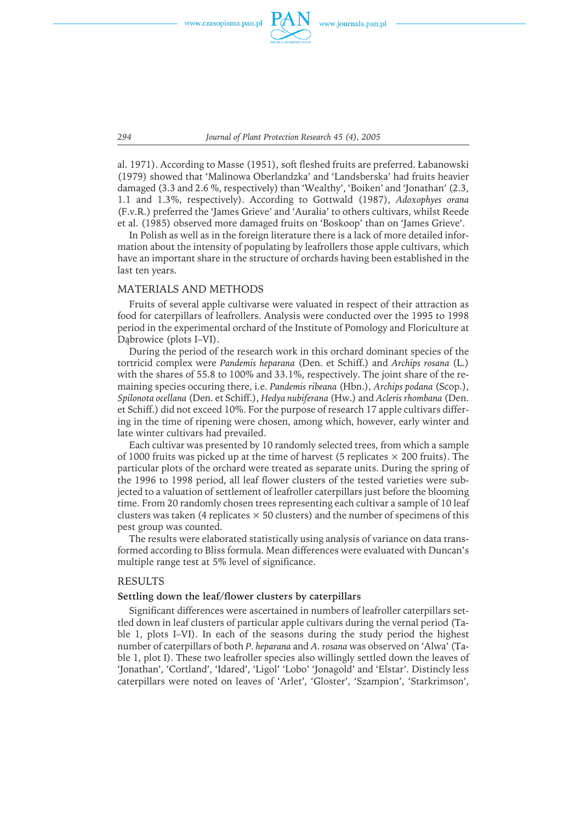

*294 Journal of Plant Protection Research 45 (4), 2005*

al. 1971). According to Masse (1951), soft fleshed fruits are preferred. Łabanowski (1979) showed that 'Malinowa Oberlandzka' and 'Landsberska' had fruits heavier damaged (3.3 and 2.6 %, respectively) than 'Wealthy', 'Boiken' and 'Jonathan' (2.3, 1.1 and 1.3%, respectively). According to Gottwald (1987), *Adoxophyes orana* (F.v.R.) preferred the 'James Grieve' and 'Auralia' to others cultivars, whilst Reede et al. (1985) observed more damaged fruits on 'Boskoop' than on 'James Grieve'.

In Polish as well as in the foreign literature there is a lack of more detailed information about the intensity of populating by leafrollers those apple cultivars, which have an important share in the structure of orchards having been established in the last ten years.

## MATERIALS AND METHODS

Fruits of several apple cultivarse were valuated in respect of their attraction as food for caterpillars of leafrollers. Analysis were conducted over the 1995 to 1998 period in the experimental orchard of the Institute of Pomology and Floriculture at Dąbrowice (plots I–VI).

During the period of the research work in this orchard dominant species of the tortricid complex were *Pandemis heparana* (Den. et Schiff.) and *Archips rosana* (L.) with the shares of 55.8 to  $100\%$  and  $33.1\%$ , respectively. The joint share of the remaining species occuring there, i.e. *Pandemis ribeana* (Hbn.), *Archips podana* (Scop.), *Spilonota ocellana* (Den. et Schiff.), *Hedya nubiferana* (Hw.) and *Acleris rhombana* (Den. et Schiff.) did not exceed 10%. For the purpose of research 17 apple cultivars differing in the time of ripening were chosen, among which, however, early winter and late winter cultivars had prevailed.

Each cultivar was presented by 10 randomly selected trees, from which a sample of 1000 fruits was picked up at the time of harvest (5 replicates  $\times$  200 fruits). The particular plots of the orchard were treated as separate units. During the spring of the 1996 to 1998 period, all leaf flower clusters of the tested varieties were subjected to a valuation of settlement of leafroller caterpillars just before the blooming time. From 20 randomly chosen trees representing each cultivar a sample of 10 leaf clusters was taken (4 replicates  $\times$  50 clusters) and the number of specimens of this pest group was counted.

The results were elaborated statistically using analysis of variance on data transformed according to Bliss formula. Mean differences were evaluated with Duncan's multiple range test at 5% level of significance.

# RESULTS

#### **Settling down the leaf/flower clusters by caterpillars**

Significant differences were ascertained in numbers of leafroller caterpillars settled down in leaf clusters of particular apple cultivars during the vernal period (Table 1, plots I–VI). In each of the seasons during the study period the highest number of caterpillars of both *P. heparana* and *A. rosana* was observed on 'Alwa' (Table 1, plot I). These two leafroller species also willingly settled down the leaves of 'Jonathan', 'Cortland', 'Idared', 'Ligol' 'Lobo' 'Jonagold' and 'Elstar'. Distincly less caterpillars were noted on leaves of'Arlet', 'Gloster', 'Szampion', 'Starkrimson',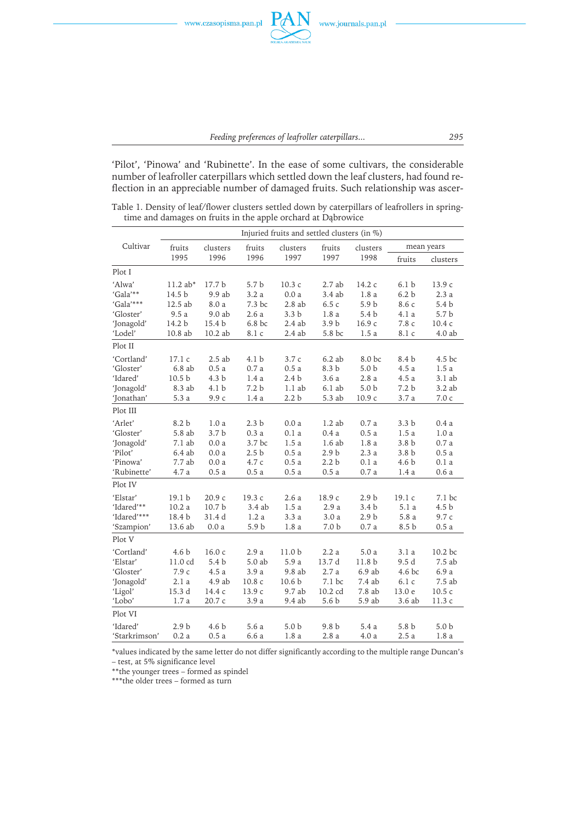

'Pilot', 'Pinowa' and 'Rubinette'. In the ease of some cultivars, the considerable number of leafroller caterpillars which settled down the leaf clusters, had found reflection in an appreciable number of damaged fruits. Such relationship was ascer-

Table 1. Density of leaf/flower clusters settled down by caterpillars of leafrollers in springtime and damages on fruits in the apple orchard at Dąbrowice

|               | Injuried fruits and settled clusters (in %) |                   |                  |                  |                  |                  |                  |                  |
|---------------|---------------------------------------------|-------------------|------------------|------------------|------------------|------------------|------------------|------------------|
| Cultivar      | fruits<br>1995                              | clusters<br>1996  | fruits<br>1996   | clusters<br>1997 | fruits<br>1997   | clusters<br>1998 | mean years       |                  |
|               |                                             |                   |                  |                  |                  |                  | fruits           | clusters         |
| Plot I        |                                             |                   |                  |                  |                  |                  |                  |                  |
| 'Alwa'        | $11.2$ ab*                                  | 17.7 b            | 5.7 <sub>b</sub> | 10.3c            | 2.7ab            | 14.2 c           | 6.1 <sub>b</sub> | 13.9 с           |
| 'Gala'**      | 14.5 b                                      | 9.9 ab            | 3.2a             | 0.0a             | 3.4 ab           | 1.8a             | 6.2 <sub>b</sub> | 2.3a             |
| 'Gala'***     | 12.5 ab                                     | 8.0 a             | 7.3 bc           | 2.8ab            | 6.5c             | 5.9 <sub>b</sub> | 8.6 с            | 5.4 <sub>b</sub> |
| 'Gloster'     | 9.5a                                        | 9.0 ab            | 2.6a             | 3.3 <sub>b</sub> | 1.8a             | 5.4 <sub>b</sub> | 4.1 a            | 5.7 b            |
| 'Jonagold'    | 14.2 b                                      | 15.4 b            | 6.8 bc           | 2.4ab            | 3.9 <sub>b</sub> | 16.9 с           | 7.8 c            | 10.4 c           |
| 'Lodel'       | 10.8 ab                                     | 10.2 ab           | 8.1 c            | 2.4ab            | 5.8 bc           | 1.5a             | 8.1 c            | $4.0$ ab         |
| Plot II       |                                             |                   |                  |                  |                  |                  |                  |                  |
| 'Cortland'    | 17.1 c                                      | 2.5 ab            | 4.1 <sub>b</sub> | 3.7c             | 6.2 ab           | 8.0 bc           | 8.4 b            | 4.5 bc           |
| 'Gloster'     | 6.8ab                                       | 0.5a              | 0.7a             | 0.5a             | 8.3 <sub>b</sub> | 5.0 <sub>b</sub> | 4.5a             | 1.5a             |
| 'Idared'      | 10.5 <sub>b</sub>                           | 4.3 <sub>b</sub>  | 1.4a             | 2.4 <sub>b</sub> | 3.6a             | 2.8a             | 4.5 a            | 3.1 ab           |
| 'Jonagold'    | 8.3 ab                                      | 4.1 <sub>b</sub>  | 7.2 <sub>b</sub> | 1.1ab            | $6.1$ ab         | 5.0 <sub>b</sub> | 7.2 b            | 3.2ab            |
| 'Jonathan'    | 5.3 a                                       | 9.9c              | 1.4a             | 2.2 <sub>b</sub> | 5.3 ab           | 10.9c            | 3.7 a            | 7.0c             |
| Plot III      |                                             |                   |                  |                  |                  |                  |                  |                  |
| 'Arlet'       | 8.2 b                                       | 1.0a              | 2.3 <sub>b</sub> | 0.0a             | 1.2ab            | 0.7a             | 3.3 <sub>b</sub> | 0.4 a            |
| 'Gloster'     | 5.8 ab                                      | 3.7 <sub>b</sub>  | 0.3a             | 0.1a             | 0.4a             | 0.5a             | 1.5a             | 1.0a             |
| 'Jonagold'    | 7.1 ab                                      | 0.0a              | 3.7 bc           | 1.5a             | 1.6ab            | 1.8a             | 3.8 <sub>b</sub> | 0.7a             |
| 'Pilot'       | $6.4$ ab                                    | 0.0a              | 2.5 <sub>b</sub> | 0.5a             | 2.9 <sub>b</sub> | 2.3a             | 3.8 <sub>b</sub> | 0.5a             |
| 'Pinowa'      | 7.7 ab                                      | 0.0a              | 4.7 c            | 0.5a             | 2.2 <sub>b</sub> | 0.1a             | 4.6 <sub>b</sub> | 0.1a             |
| 'Rubinette'   | 4.7 a                                       | 0.5a              | 0.5a             | 0.5a             | 0.5a             | 0.7a             | 1.4a             | 0.6a             |
| Plot IV       |                                             |                   |                  |                  |                  |                  |                  |                  |
| 'Elstar'      | 19.1 b                                      | 20.9 с            | 19.3c            | 2.6a             | 18.9c            | 2.9 <sub>b</sub> | 19.1 c           | 7.1 bc           |
| 'Idared'**    | 10.2a                                       | 10.7 <sub>b</sub> | 3.4 ab           | 1.5a             | 2.9a             | 3.4 <sub>b</sub> | 5.1a             | 4.5 <sub>b</sub> |
| 'Idared'***   | 18.4 b                                      | 31.4 d            | 1.2a             | 3.3a             | 3.0a             | 2.9 <sub>b</sub> | 5.8a             | 9.7 c            |
| 'Szampion'    | 13.6 ab                                     | 0.0a              | 5.9 <sub>b</sub> | 1.8a             | 7.0 b            | 0.7a             | 8.5 <sub>b</sub> | 0.5a             |
| Plot V        |                                             |                   |                  |                  |                  |                  |                  |                  |
| 'Cortland'    | 4.6 <sub>b</sub>                            | 16.0c             | 2.9a             | 11.0 b           | 2.2a             | 5.0 a            | 3.1 a            | 10.2 bc          |
| 'Elstar'      | 11.0 cd                                     | 5.4 b             | 5.0 ab           | 5.9 a            | 13.7 d           | 11.8 b           | 9.5d             | 7.5 ab           |
| 'Gloster'     | 7.9 с                                       | 4.5a              | 3.9a             | 9.8 ab           | 2.7a             | 6.9 ab           | 4.6 bc           | 6.9 a            |
| 'Jonagold'    | 2.1a                                        | 4.9 ab            | 10.8c            | 10.6 b           | 7.1 bc           | 7.4 ab           | 6.1c             | 7.5 ab           |
| 'Ligol'       | 15.3 d                                      | 14.4 c            | 13.9 с           | 9.7 ab           | 10.2 cd          | 7.8 ab           | 13.0 e           | 10.5c            |
| 'Lobo'        | 1.7a                                        | 20.7 c            | 3.9 a            | 9.4 ab           | 5.6 <sub>b</sub> | 5.9 ab           | 3.6 ab           | 11.3c            |
| Plot VI       |                                             |                   |                  |                  |                  |                  |                  |                  |
| 'Idared'      | 2.9 <sub>b</sub>                            | 4.6 <sub>b</sub>  | 5.6a             | 5.0 <sub>b</sub> | 9.8 <sub>b</sub> | 5.4 a            | 5.8 <sub>b</sub> | 5.0 <sub>b</sub> |
| 'Starkrimson' | 0.2a                                        | 0.5a              | 6.6 a            | 1.8 a            | 2.8 a            | 4.0 a            | 2.5 a            | 1.8a             |

\*values indicated by the same letter do not differ significantly according to the multiple range Duncan's

– test, at 5% significance level

\*\*the younger trees – formed as spindel

\*\*\*the older trees – formed as turn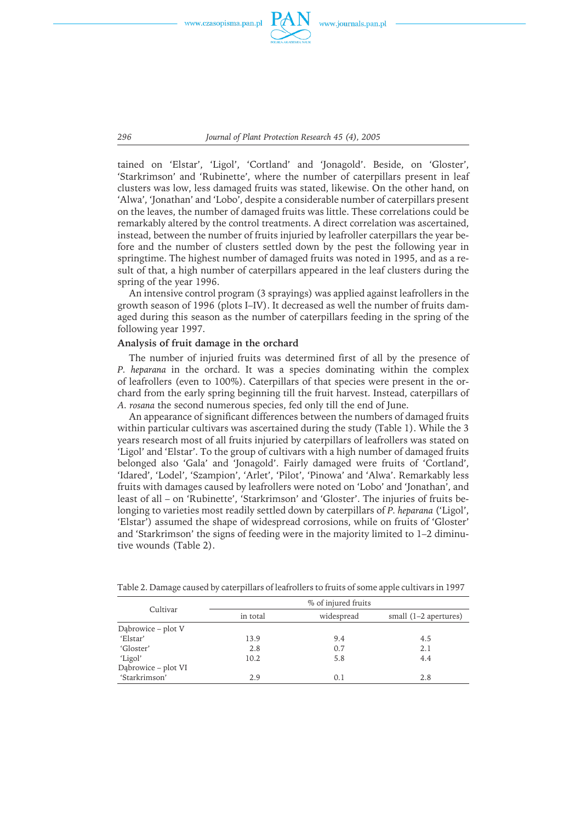

*296 Journal of Plant Protection Research 45 (4), 2005*

tained on 'Elstar', 'Ligol', 'Cortland' and 'Jonagold'. Beside, on 'Gloster', 'Starkrimson' and 'Rubinette', where the number of caterpillars present in leaf clusters was low, less damaged fruits was stated, likewise. On the other hand, on 'Alwa', 'Jonathan' and 'Lobo', despite a considerable number of caterpillars present on the leaves, the number ofdamaged fruits was little. These correlations could be remarkably altered by the control treatments. A direct correlation was ascertained, instead, between the number of fruits injuried by leafroller caterpillars the year before and the number of clusters settled down by the pest the following year in springtime. The highest number of damaged fruits was noted in 1995, and as a result of that, a high number of caterpillars appeared in the leaf clusters during the spring of the year 1996.

An intensive control program (3 sprayings) was applied against leafrollers in the growth season of 1996 (plots I–IV). It decreased as well the number of fruits damaged during this season as the number of caterpillars feeding in the spring of the following year 1997.

#### **Analysis of fruit damage in the orchard**

The number of injuried fruits was determined first of all by the presence of *P. heparana* in the orchard. It was a species dominating within the complex of leafrollers (even to 100%). Caterpillars of that species were present in the orchard from the early spring beginning till the fruit harvest. Instead, caterpillars of *A. rosana* the second numerous species, fed only till the end of June.

An appearance of significant differences between the numbers of damaged fruits within particular cultivars was ascertained during the study (Table 1). While the 3 years research most of all fruits injuried by caterpillars of leafrollers was stated on 'Ligol' and 'Elstar'. To the group of cultivars with a high number of damaged fruits belonged also 'Gala' and 'Jonagold'. Fairly damaged were fruits of 'Cortland', 'Idared', 'Lodel', 'Szampion', 'Arlet', 'Pilot', 'Pinowa' and 'Alwa'. Remarkably less fruits with damages caused by leafrollers were noted on 'Lobo' and 'Jonathan', and least of all – on 'Rubinette', 'Starkrimson' and 'Gloster'. The injuries of fruits belonging to varieties most readily settled down by caterpillars of *P. heparana* ('Ligol', 'Elstar') assumed the shape of widespread corrosions, while on fruits of 'Gloster' and 'Starkrimson' the signs of feeding were in the majority limited to  $1-2$  diminutive wounds (Table 2).

|                     | % of injured fruits |            |                         |  |  |  |
|---------------------|---------------------|------------|-------------------------|--|--|--|
| Cultivar            | in total            | widespread | small $(1-2$ apertures) |  |  |  |
| Dabrowice – plot V  |                     |            |                         |  |  |  |
| 'Elstar'            | 13.9                | 9.4        | 4.5                     |  |  |  |
| 'Gloster'           | 2.8                 | 0.7        | 2.1                     |  |  |  |
| 'Ligol'             | 10.2                | 5.8        | 4.4                     |  |  |  |
| Dąbrowice – plot VI |                     |            |                         |  |  |  |
| 'Starkrimson'       | 2.9                 | 0.1        | 2.8                     |  |  |  |

Table 2. Damage caused by caterpillars of leafrollers to fruits of some apple cultivars in 1997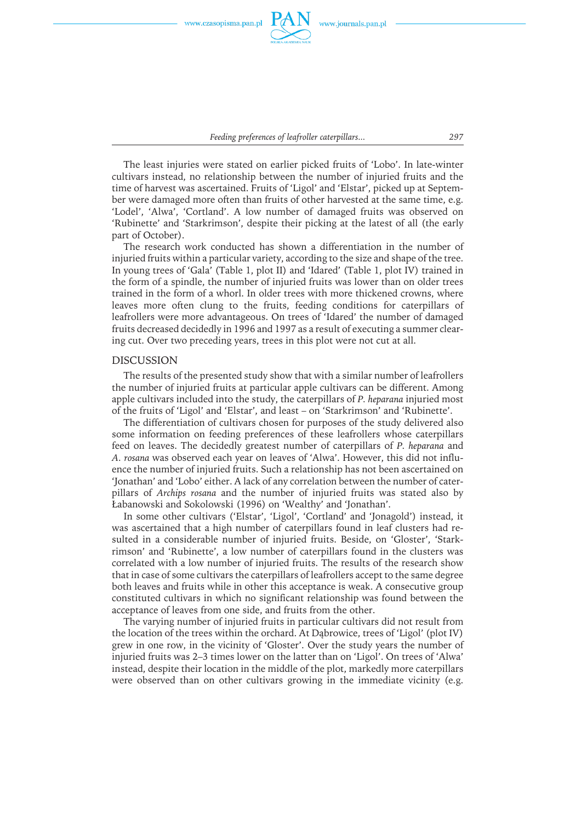

*Feeding preferences of leafroller caterpillars... 297*

The least injuries were stated on earlier picked fruits of 'Lobo'. In late-winter cultivars instead, no relationship between the number ofinjuried fruits and the time ofharvest was ascertained. Fruits of'Ligol' and 'Elstar', picked up at September were damaged more often than fruits of other harvested at the same time, e.g. 'Lodel', 'Alwa', 'Cortland'. A low number of damaged fruits was observed on 'Rubinette' and 'Starkrimson', despite their picking at the latest of all (the early part of October).

The research work conducted has shown a differentiation in the number of injuried fruits within a particular variety, according to the size and shape of the tree. In young trees of'Gala' (Table 1, plot II) and 'Idared' (Table 1, plot IV) trained in the form of a spindle, the number of injuried fruits was lower than on older trees trained in the form of a whorl. In older trees with more thickened crowns, where leaves more often clung to the fruits, feeding conditions for caterpillars of leafrollers were more advantageous. On trees of 'Idared' the number of damaged fruits decreased decidedly in 1996 and 1997 as a result of executing a summer clearing cut. Over two preceding years, trees in this plot were not cut at all.

#### DISCUSSION

The results of the presented study show that with a similar number of leafrollers the number of injuried fruits at particular apple cultivars can be different. Among apple cultivars included into the study, the caterpillars of *P. heparana* injuried most of the fruits of 'Ligol' and 'Elstar', and least – on 'Starkrimson' and 'Rubinette'.

The differentiation of cultivars chosen for purposes of the study delivered also some information on feeding preferences of these leafrollers whose caterpillars feed on leaves. The decidedly greatest number of caterpillars of *P. heparana* and *A. rosana* was observed each year on leaves of'Alwa'. However, this did not influence the number ofinjuried fruits. Such a relationship has not been ascertained on 'Jonathan' and 'Lobo' either. A lack of any correlation between the number of caterpillars of *Archips rosana* and the number ofinjuried fruits was stated also by Łabanowski and Sokolowski (1996) on 'Wealthy' and 'Jonathan'.

In some other cultivars ('Elstar', 'Ligol', 'Cortland' and 'Jonagold') instead, it was ascertained that a high number of caterpillars found in leaf clusters had resulted in a considerable number of injuried fruits. Beside, on 'Gloster', 'Starkrimson' and 'Rubinette', a low number of caterpillars found in the clusters was correlated with a low number of injuried fruits. The results of the research show that in case of some cultivars the caterpillars of leafrollers accept to the same degree both leaves and fruits while in other this acceptance is weak. A consecutive group constituted cultivars in which no significant relationship was found between the acceptance of leaves from one side, and fruits from the other.

The varying number of injuried fruits in particular cultivars did not result from the location of the trees within the orchard. At Dąbrowice, trees of 'Ligol' (plot IV) grew in one row, in the vicinity of'Gloster'. Over the study years the number of injuried fruits was 2–3 times lower on the latter than on 'Ligol'. On trees of 'Alwa' instead, despite their location in the middle ofthe plot, markedly more caterpillars were observed than on other cultivars growing in the immediate vicinity (e.g.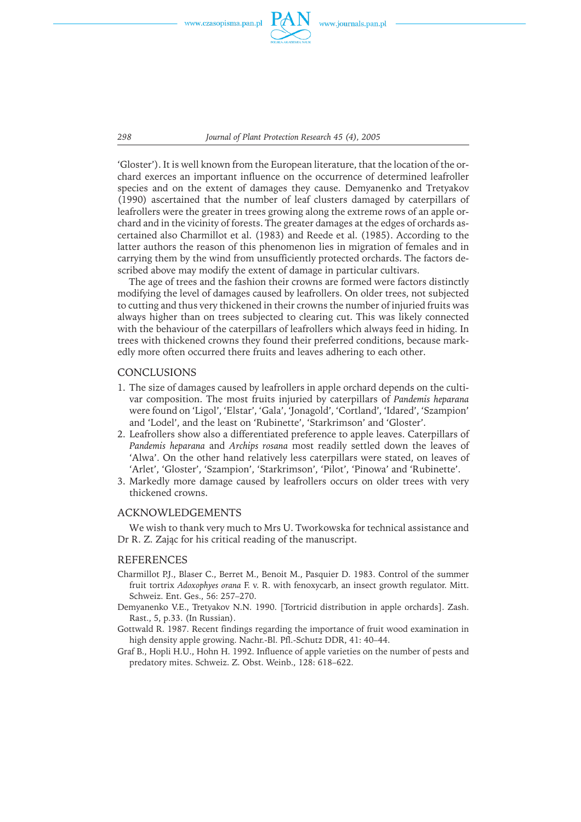

*298 Journal of Plant Protection Research 45 (4), 2005*

'Gloster'). It is well known from the European literature, that the location of the orchard exerces an important influence on the occurrence of determined leafroller species and on the extent of damages they cause. Demyanenko and Tretyakov (1990) ascertained that the number of leaf clusters damaged by caterpillars of leafrollers were the greater in trees growing along the extreme rows of an apple orchard and in the vicinity of forests. The greater damages at the edges of orchards ascertained also Charmillot et al. (1983) and Reede et al. (1985). According to the latter authors the reason of this phenomenon lies in migration of females and in carrying them by the wind from unsufficiently protected orchards. The factors described above may modify the extent of damage in particular cultivars.

The age of trees and the fashion their crowns are formed were factors distinctly modifying the level of damages caused by leafrollers. On older trees, not subjected to cutting and thus very thickened in their crowns the number ofinjuried fruits was always higher than on trees subjected to clearing cut. This was likely connected with the behaviour of the caterpillars of leafrollers which always feed in hiding. In trees with thickened crowns they found their preferred conditions, because markedly more often occurred there fruits and leaves adhering to each other.

#### **CONCLUSIONS**

- 1. The size of damages caused by leafrollers in apple orchard depends on the cultivar composition. The most fruits injuried by caterpillars of *Pandemis heparana* were found on 'Ligol', 'Elstar', 'Gala', 'Jonagold', 'Cortland', 'Idared', 'Szampion' and 'Lodel', and the least on 'Rubinette', 'Starkrimson' and 'Gloster'.
- 2. Leafrollers show also a differentiated preference to apple leaves. Caterpillars of *Pandemis heparana* and *Archips rosana* most readily settled down the leaves of 'Alwa'. On the other hand relatively less caterpillars were stated, on leaves of 'Arlet', 'Gloster', 'Szampion', 'Starkrimson', 'Pilot', 'Pinowa' and 'Rubinette'.
- 3. Markedly more damage caused by leafrollers occurs on older trees with very thickened crowns.

# ACKNOWLEDGEMENTS

We wish to thank very much to Mrs U. Tworkowska for technical assistance and Dr R. Z. Zając for his critical reading of the manuscript.

#### REFERENCES

- Charmillot P.J., Blaser C., Berret M., Benoit M., Pasquier D. 1983. Control of the summer fruit tortrix *Adoxophyes orana* F. v. R. with fenoxycarb, an insect growth regulator. Mitt. Schweiz. Ent. Ges., 56: 257–270.
- Demyanenko V.E., Tretyakov N.N. 1990. [Tortricid distribution in apple orchards]. Zash. Rast., 5, p.33. (In Russian).
- Gottwald R. 1987. Recent findings regarding the importance of fruit wood examination in high density apple growing. Nachr.-Bl. Pfl.-Schutz DDR, 41: 40–44.
- Graf B., Hopli H.U., Hohn H. 1992. Influence of apple varieties on the number of pests and predatory mites. Schweiz. Z. Obst. Weinb., 128: 618–622.